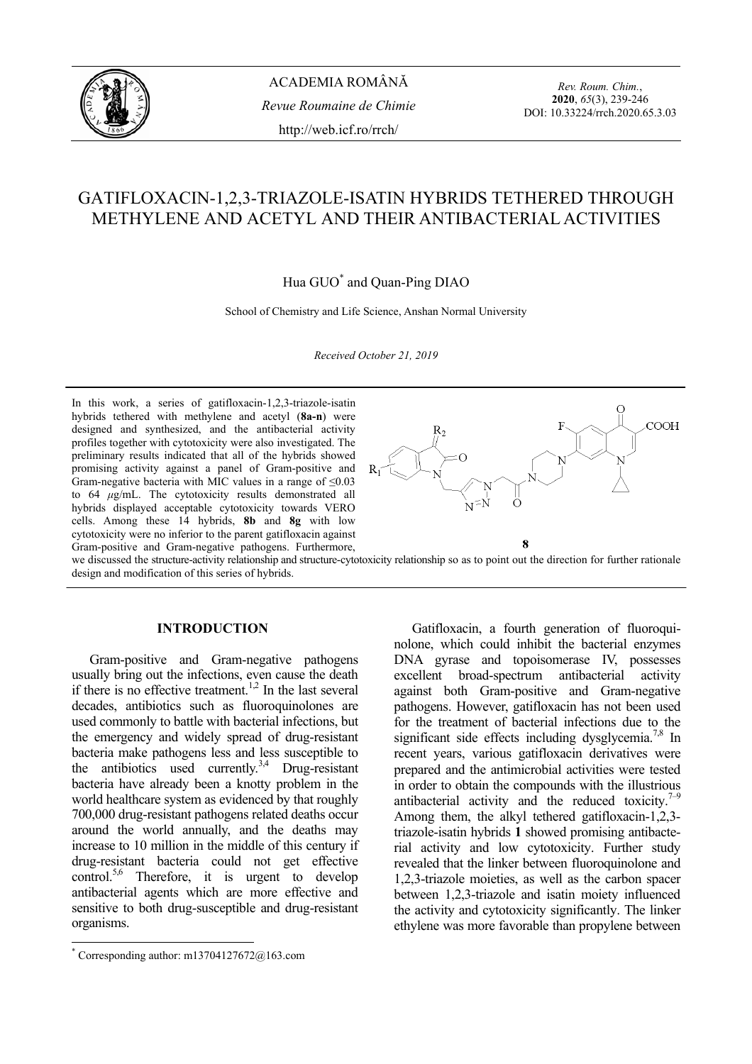

ACADEMIA ROMÂNĂ *Revue Roumaine de Chimie* http://web.icf.ro/rrch/

*Rev. Roum. Chim.*, **2020**, *65*(3), 239-246 DOI: 10.33224/rrch.2020.65.3.03

# GATIFLOXACIN-1,2,3-TRIAZOLE-ISATIN HYBRIDS TETHERED THROUGH METHYLENE AND ACETYL AND THEIR ANTIBACTERIAL ACTIVITIES

Hua GUO\* and Quan-Ping DIAO

School of Chemistry and Life Science, Anshan Normal University

*Received October 21, 2019* 

In this work, a series of gatifloxacin-1,2,3-triazole-isatin hybrids tethered with methylene and acetyl (**8a-n**) were designed and synthesized, and the antibacterial activity profiles together with cytotoxicity were also investigated. The preliminary results indicated that all of the hybrids showed promising activity against a panel of Gram-positive and Gram-negative bacteria with MIC values in a range of  $\leq 0.03$ to 64 *µ*g/mL. The cytotoxicity results demonstrated all hybrids displayed acceptable cytotoxicity towards VERO cells. Among these 14 hybrids, **8b** and **8g** with low cytotoxicity were no inferior to the parent gatifloxacin against Gram-positive and Gram-negative pathogens. Furthermore,



we discussed the structure-activity relationship and structure-cytotoxicity relationship so as to point out the direction for further rationale design and modification of this series of hybrids.

# **INTRODUCTION\***

Gram-positive and Gram-negative pathogens usually bring out the infections, even cause the death if there is no effective treatment.<sup>1,2</sup> In the last several decades, antibiotics such as fluoroquinolones are used commonly to battle with bacterial infections, but the emergency and widely spread of drug-resistant bacteria make pathogens less and less susceptible to the antibiotics used currently.<sup>3,4</sup> Drug-resistant bacteria have already been a knotty problem in the world healthcare system as evidenced by that roughly 700,000 drug-resistant pathogens related deaths occur around the world annually, and the deaths may increase to 10 million in the middle of this century if drug-resistant bacteria could not get effective control.<sup>5,6</sup> Therefore, it is urgent to develop antibacterial agents which are more effective and sensitive to both drug-susceptible and drug-resistant organisms.

Gatifloxacin, a fourth generation of fluoroquinolone, which could inhibit the bacterial enzymes DNA gyrase and topoisomerase IV, possesses excellent broad-spectrum antibacterial activity against both Gram-positive and Gram-negative pathogens. However, gatifloxacin has not been used for the treatment of bacterial infections due to the significant side effects including dysglycemia.<sup>7,8</sup> In recent years, various gatifloxacin derivatives were prepared and the antimicrobial activities were tested in order to obtain the compounds with the illustrious antibacterial activity and the reduced toxicity.<sup> $7-9$ </sup> Among them, the alkyl tethered gatifloxacin-1,2,3 triazole-isatin hybrids **1** showed promising antibacterial activity and low cytotoxicity. Further study revealed that the linker between fluoroquinolone and 1,2,3-triazole moieties, as well as the carbon spacer between 1,2,3-triazole and isatin moiety influenced the activity and cytotoxicity significantly. The linker ethylene was more favorable than propylene between

 \* Corresponding author: m13704127672@163.com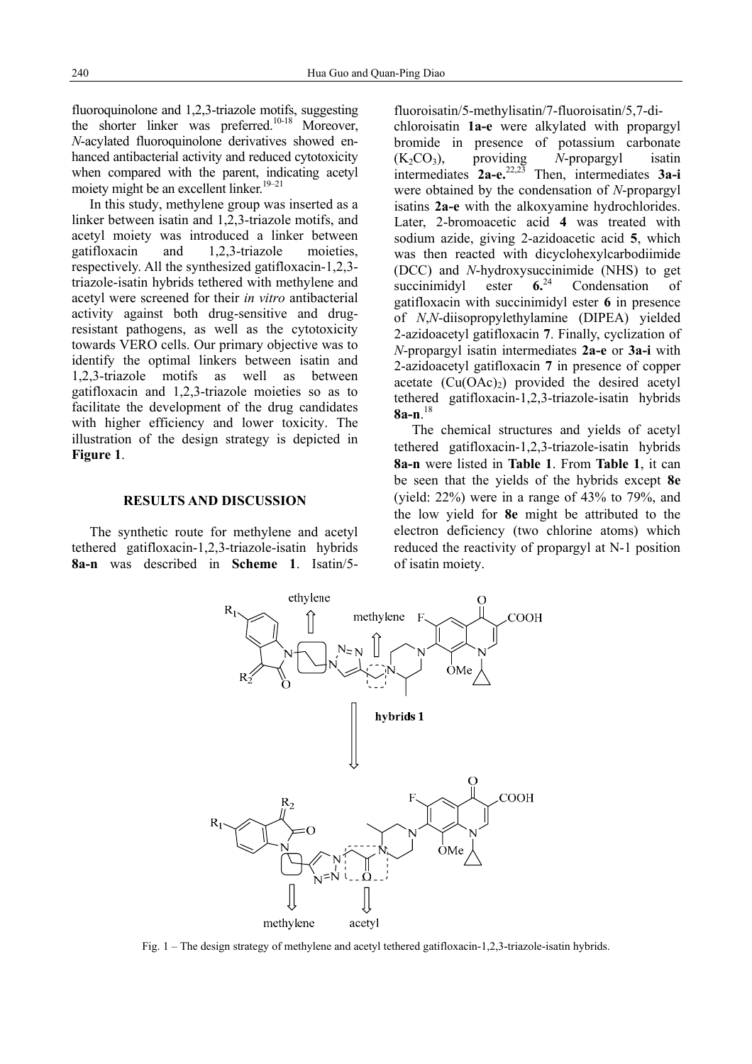fluoroquinolone and 1,2,3-triazole motifs, suggesting the shorter linker was preferred.<sup>10-18</sup> Moreover, *N*-acylated fluoroquinolone derivatives showed enhanced antibacterial activity and reduced cytotoxicity when compared with the parent, indicating acetyl moiety might be an excellent linker. $19-21$ 

In this study, methylene group was inserted as a linker between isatin and 1,2,3-triazole motifs, and acetyl moiety was introduced a linker between gatifloxacin and 1,2,3-triazole moieties, respectively. All the synthesized gatifloxacin-1,2,3 triazole-isatin hybrids tethered with methylene and acetyl were screened for their *in vitro* antibacterial activity against both drug-sensitive and drugresistant pathogens, as well as the cytotoxicity towards VERO cells. Our primary objective was to identify the optimal linkers between isatin and 1,2,3-triazole motifs as well as between gatifloxacin and 1,2,3-triazole moieties so as to facilitate the development of the drug candidates with higher efficiency and lower toxicity. The illustration of the design strategy is depicted in **Figure 1**.

# **RESULTS AND DISCUSSION**

The synthetic route for methylene and acetyl tethered gatifloxacin-1,2,3-triazole-isatin hybrids **8a-n** was described in **Scheme 1**. Isatin/5fluoroisatin/5-methylisatin/7-fluoroisatin/5,7-dichloroisatin **1a-e** were alkylated with propargyl bromide in presence of potassium carbonate (K2CO3), providing *N*-propargyl isatin intermediates **2a-e.**22,23 Then, intermediates **3a-i** were obtained by the condensation of *N*-propargyl isatins **2a-e** with the alkoxyamine hydrochlorides. Later, 2-bromoacetic acid **4** was treated with sodium azide, giving 2-azidoacetic acid **5**, which was then reacted with dicyclohexylcarbodiimide (DCC) and *N*-hydroxysuccinimide (NHS) to get succinimidyl ester **6.**24 Condensation of gatifloxacin with succinimidyl ester **6** in presence of *N*,*N*-diisopropylethylamine (DIPEA) yielded 2-azidoacetyl gatifloxacin **7**. Finally, cyclization of *N*-propargyl isatin intermediates **2a-e** or **3a-i** with 2-azidoacetyl gatifloxacin **7** in presence of copper acetate  $(Cu(OAc))$  provided the desired acetyl tethered gatifloxacin-1,2,3-triazole-isatin hybrids **8a-n**. 18

The chemical structures and yields of acetyl tethered gatifloxacin-1,2,3-triazole-isatin hybrids **8a-n** were listed in **Table 1**. From **Table 1**, it can be seen that the yields of the hybrids except **8e** (yield: 22%) were in a range of 43% to 79%, and the low yield for **8e** might be attributed to the electron deficiency (two chlorine atoms) which reduced the reactivity of propargyl at N-1 position of isatin moiety.



Fig. 1 – The design strategy of methylene and acetyl tethered gatifloxacin-1,2,3-triazole-isatin hybrids.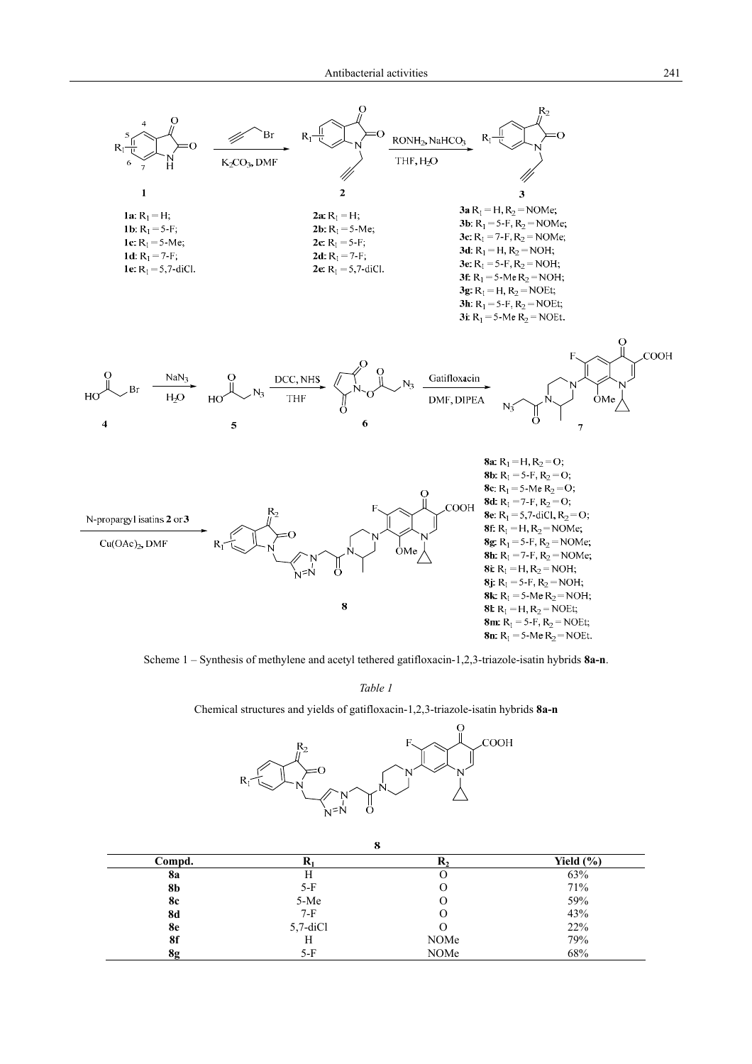

Scheme 1 – Synthesis of methylene and acetyl tethered gatifloxacin-1,2,3-triazole-isatin hybrids **8a-n**.

*Table 1*

Chemical structures and yields of gatifloxacin-1,2,3-triazole-isatin hybrids **8a-n**



| 8         |             |      |               |  |  |
|-----------|-------------|------|---------------|--|--|
| Compd.    |             | K2   | Yield $(\% )$ |  |  |
| <b>8a</b> | Н           |      | 63%           |  |  |
| 8b        | $5-F$       |      | 71%           |  |  |
| <b>8c</b> | 5-Me        |      | 59%           |  |  |
| <b>8d</b> | 7-F         |      | 43%           |  |  |
| 8e        | $5,7$ -diCl |      | 22%           |  |  |
| 8f        | Н           | NOMe | 79%           |  |  |
| 8g        | 5-F         | NOMe | 68%           |  |  |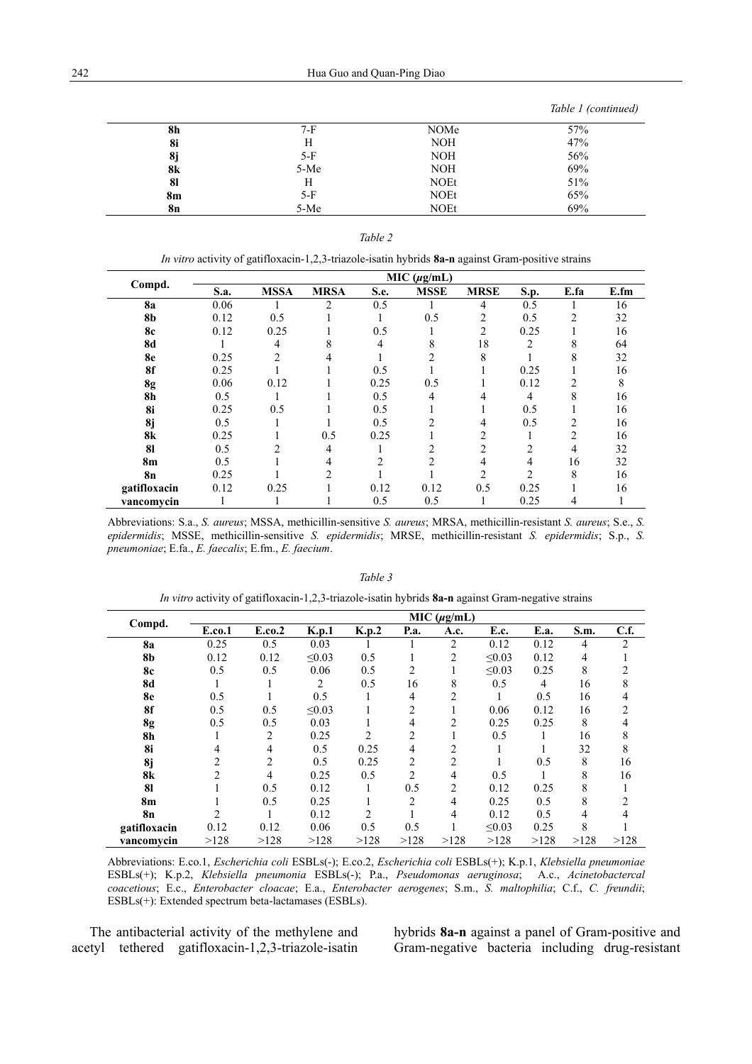*Table 1 (continued)* 

| 8h        | $7-F$ | NOMe        | 57% |
|-----------|-------|-------------|-----|
| 8i        | Н     | <b>NOH</b>  | 47% |
| 8j        | $5-F$ | <b>NOH</b>  | 56% |
| 8k        | 5-Me  | <b>NOH</b>  | 69% |
| 81        | Н     | <b>NOEt</b> | 51% |
| <b>8m</b> | $5-F$ | <b>NOEt</b> | 65% |
| 8n        | 5-Me  | <b>NOEt</b> | 69% |

| <i>In vitro</i> activity of gatifloxacin-1,2,3-triazole-isatin hybrids 8a-n against Gram-positive strains |  |  |
|-----------------------------------------------------------------------------------------------------------|--|--|
|                                                                                                           |  |  |

| Compd.         | MIC $(\mu g/mL)$ |                |                |      |             |                |                |      |      |
|----------------|------------------|----------------|----------------|------|-------------|----------------|----------------|------|------|
|                | S.a.             | <b>MSSA</b>    | <b>MRSA</b>    | S.e. | <b>MSSE</b> | <b>MRSE</b>    | S.p.           | E.fa | E.fm |
| <b>8a</b>      | 0.06             |                | $\overline{2}$ | 0.5  |             | 4              | 0.5            |      | 16   |
| <b>8b</b>      | 0.12             | 0.5            |                |      | 0.5         | 2              | 0.5            | 2    | 32   |
| 8c             | 0.12             | 0.25           |                | 0.5  |             | 2              | 0.25           |      | 16   |
| <b>8d</b>      |                  | 4              | 8              | 4    | 8           | 18             | $\overline{c}$ | 8    | 64   |
| 8e             | 0.25             | $\overline{c}$ | 4              |      | 2           | 8              |                | 8    | 32   |
| 8f             | 0.25             |                |                | 0.5  |             |                | 0.25           |      | 16   |
| 8g             | 0.06             | 0.12           |                | 0.25 | 0.5         |                | 0.12           | 2    | 8    |
| <b>8h</b>      | 0.5              |                |                | 0.5  | 4           | 4              | 4              | 8    | 16   |
| 8i             | 0.25             | 0.5            |                | 0.5  |             |                | 0.5            |      | 16   |
| 8j             | 0.5              |                |                | 0.5  | າ           | 4              | 0.5            | 2    | 16   |
| 8k             | 0.25             |                | 0.5            | 0.25 |             | 2              |                | 2    | 16   |
| 81             | 0.5              |                | 4              |      | 2           | $\overline{c}$ | $\overline{2}$ | 4    | 32   |
| 8 <sub>m</sub> | 0.5              |                | 4              | 2    | 2           | 4              | 4              | 16   | 32   |
| <b>8n</b>      | 0.25             |                | $\overline{c}$ |      |             | 2              |                | 8    | 16   |
| gatifloxacin   | 0.12             | 0.25           |                | 0.12 | 0.12        | 0.5            | 0.25           |      | 16   |
| vancomvcin     |                  |                |                | 0.5  | 0.5         |                | 0.25           | 4    |      |

Abbreviations: S.a., *S. aureus*; MSSA, methicillin-sensitive *S. aureus*; MRSA, methicillin-resistant *S. aureus*; S.e., *S. epidermidis*; MSSE, methicillin-sensitive *S. epidermidis*; MRSE, methicillin-resistant *S. epidermidis*; S.p., *S. pneumoniae*; E.fa., *E. faecalis*; E.fm., *E. faecium*.

|              | MIC (µg/mL)    |                |             |                |                |                |             |             |      |      |
|--------------|----------------|----------------|-------------|----------------|----------------|----------------|-------------|-------------|------|------|
| Compd.       | E.co.1         | E.co.2         | K.p.1       | K.p.2          | P.a.           | A.c.           | E.c.        | <b>E.a.</b> | S.m. | C.f. |
| <b>8a</b>    | 0.25           | 0.5            | 0.03        |                |                | $\overline{c}$ | 0.12        | 0.12        | 4    | 2    |
| 8b           | 0.12           | 0.12           | $\leq 0.03$ | 0.5            |                | $\overline{c}$ | $\leq 0.03$ | 0.12        | 4    |      |
| <b>8c</b>    | 0.5            | 0.5            | 0.06        | 0.5            | $\overline{2}$ |                | $\leq 0.03$ | 0.25        | 8    | 2    |
| 8d           |                |                | 2           | 0.5            | 16             | 8              | 0.5         | 4           | 16   | 8    |
| 8e           | 0.5            |                | 0.5         |                | 4              | 2              |             | 0.5         | 16   | 4    |
| 8f           | 0.5            | 0.5            | $\leq 0.03$ |                | 2              |                | 0.06        | 0.12        | 16   | 2    |
| 8g           | 0.5            | 0.5            | 0.03        |                | 4              | 2              | 0.25        | 0.25        | 8    | 4    |
| 8h           |                | 2              | 0.25        | 2              | $\overline{2}$ |                | 0.5         |             | 16   | 8    |
| 8i           | 4              | $\overline{4}$ | 0.5         | 0.25           | 4              | 2              |             |             | 32   | 8    |
| 8j           | 2              | $\overline{c}$ | 0.5         | 0.25           | $\overline{2}$ | $\overline{2}$ |             | 0.5         | 8    | 16   |
| 8k           | $\mathfrak{D}$ | 4              | 0.25        | 0.5            | $\overline{2}$ | 4              | 0.5         |             | 8    | 16   |
| 81           |                | 0.5            | 0.12        |                | 0.5            | $\overline{2}$ | 0.12        | 0.25        | 8    |      |
| 8m           |                | 0.5            | 0.25        |                | $\overline{c}$ | 4              | 0.25        | 0.5         | 8    | 2    |
| <b>8n</b>    | $\mathfrak{D}$ |                | 0.12        | $\overline{2}$ |                | 4              | 0.12        | 0.5         | 4    |      |
| gatifloxacin | 0.12           | 0.12           | 0.06        | 0.5            | 0.5            |                | $\leq 0.03$ | 0.25        | 8    |      |
| vancomvcin   | >128           | >128           | >128        | >128           | >128           | >128           | >128        | >128        | >128 | >128 |

*Table 3 In vitro* activity of gatifloxacin-1,2,3-triazole-isatin hybrids **8a-n** against Gram-negative strains

Abbreviations: E.co.1, *Escherichia coli* ESBLs(-); E.co.2, *Escherichia coli* ESBLs(+); K.p.1, *Klebsiella pneumoniae* ESBLs(+); K.p.2, *Klebsiella pneumonia* ESBLs(-); P.a., *Pseudomonas aeruginosa*; A.c., *Acinetobactercal coacetious*; E.c., *Enterobacter cloacae*; E.a., *Enterobacter aerogenes*; S.m., *S. maltophilia*; C.f., *C. freundii*; ESBLs(+): Extended spectrum beta-lactamases (ESBLs).

The antibacterial activity of the methylene and acetyl tethered gatifloxacin-1,2,3-triazole-isatin hybrids **8a-n** against a panel of Gram-positive and Gram-negative bacteria including drug-resistant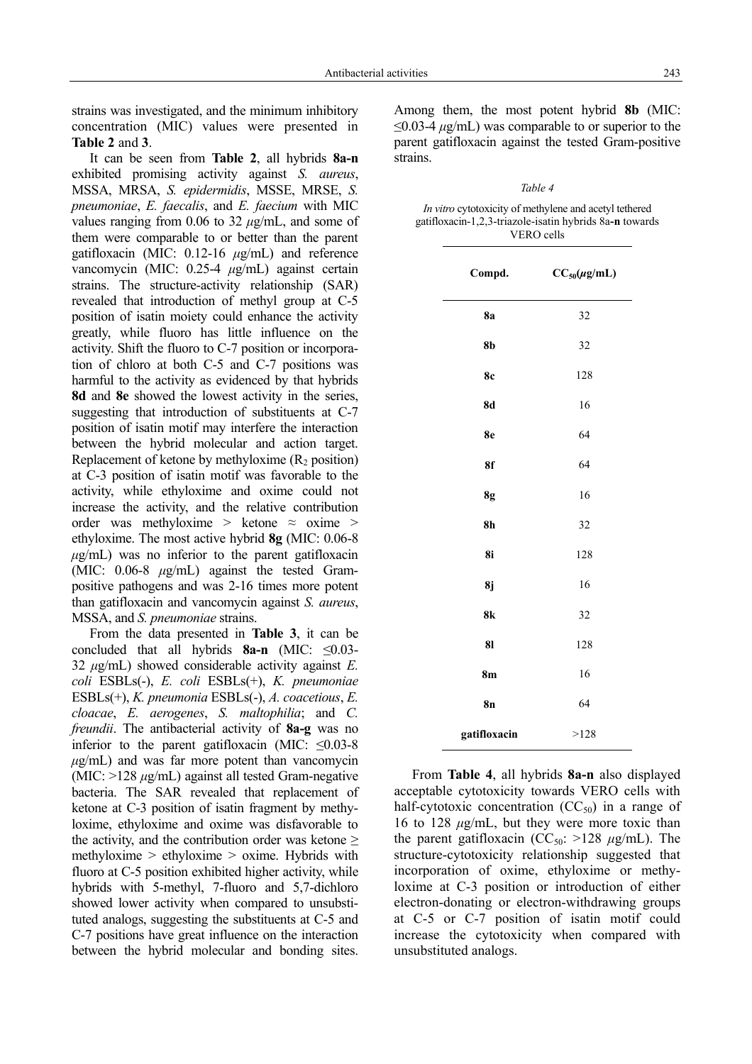strains was investigated, and the minimum inhibitory concentration (MIC) values were presented in **Table 2** and **3**.

It can be seen from **Table 2**, all hybrids **8a-n** exhibited promising activity against *S. aureus*, MSSA, MRSA, *S. epidermidis*, MSSE, MRSE, *S. pneumoniae*, *E. faecalis*, and *E. faecium* with MIC values ranging from 0.06 to 32 *µ*g/mL, and some of them were comparable to or better than the parent gatifloxacin (MIC: 0.12-16 *µ*g/mL) and reference vancomycin (MIC: 0.25-4 *µ*g/mL) against certain strains. The structure-activity relationship (SAR) revealed that introduction of methyl group at C-5 position of isatin moiety could enhance the activity greatly, while fluoro has little influence on the activity. Shift the fluoro to C-7 position or incorporation of chloro at both C-5 and C-7 positions was harmful to the activity as evidenced by that hybrids **8d** and **8e** showed the lowest activity in the series, suggesting that introduction of substituents at C-7 position of isatin motif may interfere the interaction between the hybrid molecular and action target. Replacement of ketone by methyloxime  $(R_2 \text{ position})$ at C-3 position of isatin motif was favorable to the activity, while ethyloxime and oxime could not increase the activity, and the relative contribution order was methyloxime > ketone  $\approx$  oxime > ethyloxime. The most active hybrid **8g** (MIC: 0.06-8  $\mu$ g/mL) was no inferior to the parent gatifloxacin (MIC: 0.06-8 *µ*g/mL) against the tested Grampositive pathogens and was 2-16 times more potent than gatifloxacin and vancomycin against *S. aureus*, MSSA, and *S. pneumoniae* strains.

From the data presented in **Table 3**, it can be concluded that all hybrids **8a-n** (MIC: ≤0.03- 32 *µ*g/mL) showed considerable activity against *E. coli* ESBLs(-), *E. coli* ESBLs(+), *K. pneumoniae* ESBLs(+), *K. pneumonia* ESBLs(-), *A. coacetious*, *E. cloacae*, *E. aerogenes*, *S. maltophilia*; and *C. freundii*. The antibacterial activity of **8a-g** was no inferior to the parent gatifloxacin (MIC:  $\leq 0.03-8$ )  $\mu$ g/mL) and was far more potent than vancomycin (MIC: >128 *µ*g/mL) against all tested Gram-negative bacteria. The SAR revealed that replacement of ketone at C-3 position of isatin fragment by methyloxime, ethyloxime and oxime was disfavorable to the activity, and the contribution order was ketone  $\geq$ methyloxime > ethyloxime > oxime. Hybrids with fluoro at C-5 position exhibited higher activity, while hybrids with 5-methyl, 7-fluoro and 5,7-dichloro showed lower activity when compared to unsubstituted analogs, suggesting the substituents at C-5 and C-7 positions have great influence on the interaction between the hybrid molecular and bonding sites.

Among them, the most potent hybrid **8b** (MIC: ≤0.03-4 *µ*g/mL) was comparable to or superior to the parent gatifloxacin against the tested Gram-positive strains.

*Table 4* 

| <i>In vitro</i> cytotoxicity of methylene and acetyl tethered |
|---------------------------------------------------------------|
| gatifloxacin-1,2,3-triazole-isatin hybrids 8a-n towards       |
| VERO cells                                                    |

| Compd.         | $CC_{50}(\mu\text{g/mL})$ |  |  |
|----------------|---------------------------|--|--|
| <b>8a</b>      | 32                        |  |  |
| 8 <sub>b</sub> | 32                        |  |  |
| <b>8c</b>      | 128                       |  |  |
| 8d             | 16                        |  |  |
| 8e             | 64                        |  |  |
| 8f             | 64                        |  |  |
| 8g             | 16                        |  |  |
| 8h             | 32                        |  |  |
| 8i             | 128                       |  |  |
| 8j             | 16                        |  |  |
| 8k             | 32                        |  |  |
| 81             | 128                       |  |  |
| 8m             | 16                        |  |  |
| 8n             | 64                        |  |  |
| gatifloxacin   | >128                      |  |  |

From **Table 4**, all hybrids **8a-n** also displayed acceptable cytotoxicity towards VERO cells with half-cytotoxic concentration  $(CC<sub>50</sub>)$  in a range of 16 to 128  $\mu$ g/mL, but they were more toxic than the parent gatifloxacin ( $CC_{50}$ :  $>128 \mu g/mL$ ). The structure-cytotoxicity relationship suggested that incorporation of oxime, ethyloxime or methyloxime at C-3 position or introduction of either electron-donating or electron-withdrawing groups at C-5 or C-7 position of isatin motif could increase the cytotoxicity when compared with unsubstituted analogs.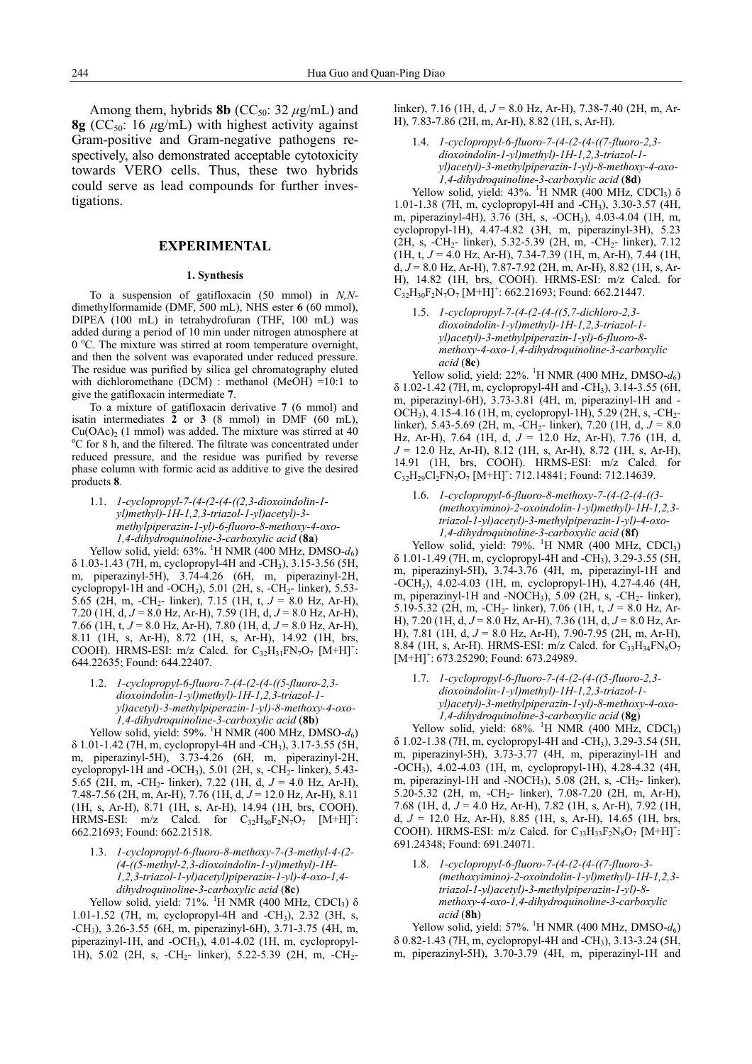Among them, hybrids **8b** ( $CC_{50}$ : 32  $\mu$ g/mL) and **8g** (CC<sub>50</sub>: 16  $\mu$ g/mL) with highest activity against Gram-positive and Gram-negative pathogens respectively, also demonstrated acceptable cytotoxicity towards VERO cells. Thus, these two hybrids could serve as lead compounds for further investigations.

# **EXPERIMENTAL**

#### **1. Synthesis**

To a suspension of gatifloxacin (50 mmol) in *N,N*dimethylformamide (DMF, 500 mL), NHS ester **6** (60 mmol), DIPEA (100 mL) in tetrahydrofuran (THF, 100 mL) was added during a period of 10 min under nitrogen atmosphere at 0 °C. The mixture was stirred at room temperature overnight, and then the solvent was evaporated under reduced pressure. The residue was purified by silica gel chromatography eluted with dichloromethane (DCM) : methanol (MeOH) =10:1 to give the gatifloxacin intermediate **7**.

To a mixture of gatifloxacin derivative **7** (6 mmol) and isatin intermediates **2** or **3** (8 mmol) in DMF (60 mL),  $Cu(OAc)<sub>2</sub>$  (1 mmol) was added. The mixture was stirred at 40 <sup>o</sup>C for 8 h, and the filtered. The filtrate was concentrated under reduced pressure, and the residue was purified by reverse phase column with formic acid as additive to give the desired products **8**.

1.1. *1-cyclopropyl-7-(4-(2-(4-((2,3-dioxoindolin-1 yl)methyl)-1H-1,2,3-triazol-1-yl)acetyl)-3 methylpiperazin-1-yl)-6-fluoro-8-methoxy-4-oxo-1,4-dihydroquinoline-3-carboxylic acid* (**8a**)

Yellow solid, yield: 63%. <sup>1</sup>H NMR (400 MHz, DMSO- $d_6$ ) δ 1.03-1.43 (7H, m, cyclopropyl-4H and -CH3), 3.15-3.56 (5H, m, piperazinyl-5H), 3.74-4.26 (6H, m, piperazinyl-2H, cyclopropyl-1H and -OCH<sub>3</sub>), 5.01 (2H, s, -CH<sub>2</sub>- linker), 5.53-5.65 (2H, m, -CH<sub>2</sub>- linker), 7.15 (1H, t,  $J = 8.0$  Hz, Ar-H), 7.20 (1H, d, *J* = 8.0 Hz, Ar-H), 7.59 (1H, d, *J* = 8.0 Hz, Ar-H), 7.66 (1H, t, *J* = 8.0 Hz, Ar-H), 7.80 (1H, d, *J* = 8.0 Hz, Ar-H), 8.11 (1H, s, Ar-H), 8.72 (1H, s, Ar-H), 14.92 (1H, brs, COOH). HRMS-ESI: m/z Calcd. for  $C_{32}H_{31}FN_7O_7$   $[M+H]^+$ : 644.22635; Found: 644.22407.

1.2. *1-cyclopropyl-6-fluoro-7-(4-(2-(4-((5-fluoro-2,3 dioxoindolin-1-yl)methyl)-1H-1,2,3-triazol-1 yl)acetyl)-3-methylpiperazin-1-yl)-8-methoxy-4-oxo-1,4-dihydroquinoline-3-carboxylic acid* (**8b**)

Yellow solid, yield: 59%. <sup>1</sup>H NMR (400 MHz, DMSO- $d_6$ )  $\delta$  1.01-1.42 (7H, m, cyclopropyl-4H and -CH<sub>3</sub>), 3.17-3.55 (5H, m, piperazinyl-5H), 3.73-4.26 (6H, m, piperazinyl-2H, cyclopropyl-1H and -OCH<sub>3</sub>), 5.01 (2H, s, -CH<sub>2</sub>- linker), 5.43-5.65 (2H, m, -CH<sub>2</sub>- linker), 7.22 (1H, d,  $J = 4.0$  Hz, Ar-H), 7.48-7.56 (2H, m, Ar-H), 7.76 (1H, d, *J* = 12.0 Hz, Ar-H), 8.11 (1H, s, Ar-H), 8.71 (1H, s, Ar-H), 14.94 (1H, brs, COOH). HRMS-ESI: m/z Calcd. for  $C_{32}H_{30}F_2N_7O_7$   $[M+H]^2$ : 662.21693; Found: 662.21518.

1.3. *1-cyclopropyl-6-fluoro-8-methoxy-7-(3-methyl-4-(2- (4-((5-methyl-2,3-dioxoindolin-1-yl)methyl)-1H-1,2,3-triazol-1-yl)acetyl)piperazin-1-yl)-4-oxo-1,4 dihydroquinoline-3-carboxylic acid* (**8c**)

Yellow solid, yield:  $71\%$ . <sup>1</sup>H NMR (400 MHz, CDCl<sub>3</sub>)  $\delta$ 1.01-1.52 (7H, m, cyclopropyl-4H and -CH3), 2.32 (3H, s, -CH3), 3.26-3.55 (6H, m, piperazinyl-6H), 3.71-3.75 (4H, m, piperazinyl-1H, and -OCH3), 4.01-4.02 (1H, m, cyclopropyl-1H), 5.02 (2H, s, -CH<sub>2</sub>- linker), 5.22-5.39 (2H, m, -CH<sub>2</sub>-

linker), 7.16 (1H, d, *J* = 8.0 Hz, Ar-H), 7.38-7.40 (2H, m, Ar-H), 7.83-7.86 (2H, m, Ar-H), 8.82 (1H, s, Ar-H).

1.4. *1-cyclopropyl-6-fluoro-7-(4-(2-(4-((7-fluoro-2,3 dioxoindolin-1-yl)methyl)-1H-1,2,3-triazol-1 yl)acetyl)-3-methylpiperazin-1-yl)-8-methoxy-4-oxo-1,4-dihydroquinoline-3-carboxylic acid* (**8d**)

Yellow solid, yield:  $43\%$ . <sup>1</sup>H NMR (400 MHz, CDCl<sub>3</sub>)  $\delta$ 1.01-1.38 (7H, m, cyclopropyl-4H and -CH3), 3.30-3.57 (4H, m, piperazinyl-4H), 3.76 (3H, s, -OCH3), 4.03-4.04 (1H, m, cyclopropyl-1H), 4.47-4.82 (3H, m, piperazinyl-3H), 5.23 (2H, s, -CH2- linker), 5.32-5.39 (2H, m, -CH2- linker), 7.12 (1H, t, *J* = 4.0 Hz, Ar-H), 7.34-7.39 (1H, m, Ar-H), 7.44 (1H, d, *J* = 8.0 Hz, Ar-H), 7.87-7.92 (2H, m, Ar-H), 8.82 (1H, s, Ar-H), 14.82 (1H, brs, COOH). HRMS-ESI: m/z Calcd. for  $C_{32}^2H_{30}F_2N_7O_7$  [M+H]<sup>+</sup>: 662.21693; Found: 662.21447.

1.5. *1-cyclopropyl-7-(4-(2-(4-((5,7-dichloro-2,3 dioxoindolin-1-yl)methyl)-1H-1,2,3-triazol-1 yl)acetyl)-3-methylpiperazin-1-yl)-6-fluoro-8 methoxy-4-oxo-1,4-dihydroquinoline-3-carboxylic acid* (**8e**)

Yellow solid, yield:  $22\%$ . <sup>1</sup>H NMR (400 MHz, DMSO- $d_6$ ) δ 1.02-1.42 (7H, m, cyclopropyl-4H and -CH3), 3.14-3.55 (6H, m, piperazinyl-6H), 3.73-3.81 (4H, m, piperazinyl-1H and - OCH<sub>3</sub>), 4.15-4.16 (1H, m, cyclopropyl-1H), 5.29 (2H, s, -CH<sub>2</sub>linker), 5.43-5.69 (2H, m, -CH<sub>2</sub>- linker), 7.20 (1H, d,  $J = 8.0$ ) Hz, Ar-H), 7.64 (1H, d, *J* = 12.0 Hz, Ar-H), 7.76 (1H, d, *J* = 12.0 Hz, Ar-H), 8.12 (1H, s, Ar-H), 8.72 (1H, s, Ar-H), 14.91 (1H, brs, COOH). HRMS-ESI: m/z Calcd. for  $C_{32}H_{29}Cl_2FN_7O_7$  [M+H]<sup>+</sup>: 712.14841; Found: 712.14639.

1.6. *1-cyclopropyl-6-fluoro-8-methoxy-7-(4-(2-(4-((3- (methoxyimino)-2-oxoindolin-1-yl)methyl)-1H-1,2,3 triazol-1-yl)acetyl)-3-methylpiperazin-1-yl)-4-oxo-1,4-dihydroquinoline-3-carboxylic acid* (**8f**)

Yellow solid, yield: 79%. <sup>1</sup>H NMR (400 MHz, CDCl<sub>3</sub>) δ 1.01-1.49 (7H, m, cyclopropyl-4H and -CH3), 3.29-3.55 (5H, m, piperazinyl-5H), 3.74-3.76 (4H, m, piperazinyl-1H and -OCH3), 4.02-4.03 (1H, m, cyclopropyl-1H), 4.27-4.46 (4H, m, piperazinyl-1H and -NOCH<sub>3</sub>), 5.09 (2H, s, -CH<sub>2</sub>- linker), 5.19-5.32 (2H, m, -CH2- linker), 7.06 (1H, t, *J* = 8.0 Hz, Ar-H), 7.20 (1H, d, *J* = 8.0 Hz, Ar-H), 7.36 (1H, d, *J* = 8.0 Hz, Ar-H), 7.81 (1H, d, *J* = 8.0 Hz, Ar-H), 7.90-7.95 (2H, m, Ar-H), 8.84 (1H, s, Ar-H). HRMS-ESI: m/z Calcd. for  $C_{33}H_{34}FN_8O_7$  $[M+H]$ <sup>+</sup>: 673.25290; Found: 673.24989.

1.7. *1-cyclopropyl-6-fluoro-7-(4-(2-(4-((5-fluoro-2,3 dioxoindolin-1-yl)methyl)-1H-1,2,3-triazol-1 yl)acetyl)-3-methylpiperazin-1-yl)-8-methoxy-4-oxo-1,4-dihydroquinoline-3-carboxylic acid* (**8g**)

Yellow solid, yield: 68%. <sup>1</sup>H NMR (400 MHz, CDCl<sub>3</sub>) δ 1.02-1.38 (7H, m, cyclopropyl-4H and -CH3), 3.29-3.54 (5H, m, piperazinyl-5H), 3.73-3.77 (4H, m, piperazinyl-1H and  $-OCH<sub>3</sub>$ ), 4.02-4.03 (1H, m, cyclopropyl-1H), 4.28-4.32 (4H, m, piperazinyl-1H and -NOCH<sub>3</sub>),  $5.08$  (2H, s, -CH<sub>2</sub>- linker), 5.20-5.32 (2H, m, -CH2- linker), 7.08-7.20 (2H, m, Ar-H), 7.68 (1H, d, *J* = 4.0 Hz, Ar-H), 7.82 (1H, s, Ar-H), 7.92 (1H, d, *J* = 12.0 Hz, Ar-H), 8.85 (1H, s, Ar-H), 14.65 (1H, brs, COOH). HRMS-ESI:  $m/z$  Calcd. for  $C_{33}H_{33}F_2N_8O_7$   $[M+H]^+$ : 691.24348; Found: 691.24071.

1.8. *1-cyclopropyl-6-fluoro-7-(4-(2-(4-((7-fluoro-3- (methoxyimino)-2-oxoindolin-1-yl)methyl)-1H-1,2,3 triazol-1-yl)acetyl)-3-methylpiperazin-1-yl)-8 methoxy-4-oxo-1,4-dihydroquinoline-3-carboxylic acid* (**8h**)

Yellow solid, yield:  $57\%$ . <sup>1</sup>H NMR (400 MHz, DMSO- $d_6$ ) δ 0.82-1.43 (7H, m, cyclopropyl-4H and -CH3), 3.13-3.24 (5H, m, piperazinyl-5H), 3.70-3.79 (4H, m, piperazinyl-1H and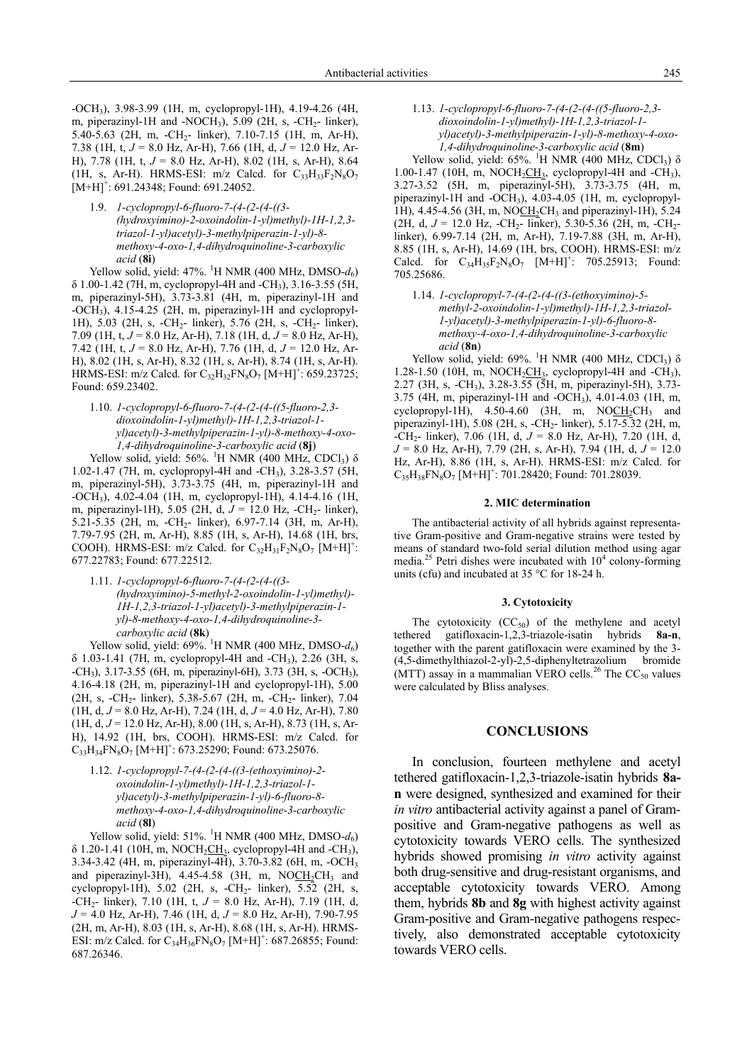-OCH3), 3.98-3.99 (1H, m, cyclopropyl-1H), 4.19-4.26 (4H, m, piperazinyl-1H and -NOCH<sub>3</sub>), 5.09 (2H, s, -CH<sub>2</sub>- linker), 5.40-5.63 (2H, m, -CH<sub>2</sub>- linker), 7.10-7.15 (1H, m, Ar-H), 7.38 (1H, t, *J* = 8.0 Hz, Ar-H), 7.66 (1H, d, *J* = 12.0 Hz, Ar-H), 7.78 (1H, t, *J* = 8.0 Hz, Ar-H), 8.02 (1H, s, Ar-H), 8.64 (1H, s, Ar-H). HRMS-ESI:  $m/z$  Calcd. for  $C_{33}H_{33}F_2N_8O_7$  $[M+H]$ <sup>+</sup>: 691.24348; Found: 691.24052.

1.9. *1-cyclopropyl-6-fluoro-7-(4-(2-(4-((3- (hydroxyimino)-2-oxoindolin-1-yl)methyl)-1H-1,2,3 triazol-1-yl)acetyl)-3-methylpiperazin-1-yl)-8 methoxy-4-oxo-1,4-dihydroquinoline-3-carboxylic acid* (**8i**)

Yellow solid, yield: 47%. <sup>1</sup>H NMR (400 MHz, DMSO- $d_6$ ) δ 1.00-1.42 (7H, m, cyclopropyl-4H and -CH3), 3.16-3.55 (5H, m, piperazinyl-5H), 3.73-3.81 (4H, m, piperazinyl-1H and -OCH3), 4.15-4.25 (2H, m, piperazinyl-1H and cyclopropyl-1H), 5.03 (2H, s, -CH<sub>2</sub>- linker), 5.76 (2H, s, -CH<sub>2</sub>- linker), 7.09 (1H, t, *J* = 8.0 Hz, Ar-H), 7.18 (1H, d, *J* = 8.0 Hz, Ar-H), 7.42 (1H, t, *J* = 8.0 Hz, Ar-H), 7.76 (1H, d, *J* = 12.0 Hz, Ar-H), 8.02 (1H, s, Ar-H), 8.32 (1H, s, Ar-H), 8.74 (1H, s, Ar-H).  $HRMS-ESI: m/z$  Calcd. for  $C_{32}H_{32}FN_8O_7 [M+H]^+$ : 659.23725; Found: 659.23402.

1.10. *1-cyclopropyl-6-fluoro-7-(4-(2-(4-((5-fluoro-2,3 dioxoindolin-1-yl)methyl)-1H-1,2,3-triazol-1 yl)acetyl)-3-methylpiperazin-1-yl)-8-methoxy-4-oxo-1,4-dihydroquinoline-3-carboxylic acid* (**8j**)

Yellow solid, yield:  $56\%$ . <sup>1</sup>H NMR (400 MHz, CDCl<sub>3</sub>)  $\delta$ 1.02-1.47 (7H, m, cyclopropyl-4H and -CH3), 3.28-3.57 (5H, m, piperazinyl-5H), 3.73-3.75 (4H, m, piperazinyl-1H and -OCH3), 4.02-4.04 (1H, m, cyclopropyl-1H), 4.14-4.16 (1H, m, piperazinyl-1H), 5.05 (2H, d,  $J = 12.0$  Hz, -CH<sub>2</sub>- linker), 5.21-5.35 (2H, m, -CH2- linker), 6.97-7.14 (3H, m, Ar-H), 7.79-7.95 (2H, m, Ar-H), 8.85 (1H, s, Ar-H), 14.68 (1H, brs, COOH). HRMS-ESI: m/z Calcd. for  $C_{32}H_{31}F_2N_8O_7$   $[M+H]^+$ : 677.22783; Found: 677.22512.

1.11. *1-cyclopropyl-6-fluoro-7-(4-(2-(4-((3- (hydroxyimino)-5-methyl-2-oxoindolin-1-yl)methyl)- 1H-1,2,3-triazol-1-yl)acetyl)-3-methylpiperazin-1 yl)-8-methoxy-4-oxo-1,4-dihydroquinoline-3 carboxylic acid* (**8k**)

Yellow solid, yield:  $69\%$ . <sup>1</sup>H NMR (400 MHz, DMSO- $d_6$ ) δ 1.03-1.41 (7H, m, cyclopropyl-4H and -CH3), 2.26 (3H, s, -CH3), 3.17-3.55 (6H, m, piperazinyl-6H), 3.73 (3H, s, -OCH3), 4.16-4.18 (2H, m, piperazinyl-1H and cyclopropyl-1H), 5.00 (2H, s, -CH<sub>2</sub>- linker), 5.38-5.67 (2H, m, -CH<sub>2</sub>- linker), 7.04 (1H, d, *J* = 8.0 Hz, Ar-H), 7.24 (1H, d, *J* = 4.0 Hz, Ar-H), 7.80 (1H, d, *J* = 12.0 Hz, Ar-H), 8.00 (1H, s, Ar-H), 8.73 (1H, s, Ar-H), 14.92 (1H, brs, COOH). HRMS-ESI: m/z Calcd. for  $C_{33}H_{34}FN_8O_7$  [M+H]<sup>+</sup>: 673.25290; Found: 673.25076.

1.12. *1-cyclopropyl-7-(4-(2-(4-((3-(ethoxyimino)-2 oxoindolin-1-yl)methyl)-1H-1,2,3-triazol-1 yl)acetyl)-3-methylpiperazin-1-yl)-6-fluoro-8 methoxy-4-oxo-1,4-dihydroquinoline-3-carboxylic acid* (**8l**)

Yellow solid, yield: 51%. <sup>1</sup>H NMR (400 MHz, DMSO- $d_6$ )  $\delta$  1.20-1.41 (10H, m, NOCH<sub>2</sub>CH<sub>3</sub>, cyclopropyl-4H and -CH<sub>3</sub>), 3.34-3.42 (4H, m, piperazinyl-4H), 3.70-3.82 (6H, m, -OCH3 and piperazinyl-3H),  $4.45-4.58$  (3H, m, NOCH<sub>2</sub>CH<sub>3</sub> and cyclopropyl-1H), 5.02 (2H, s, -CH<sub>2</sub>- linker), 5.52 (2H, s, -CH2- linker), 7.10 (1H, t, *J* = 8.0 Hz, Ar-H), 7.19 (1H, d, *J* = 4.0 Hz, Ar-H), 7.46 (1H, d, *J* = 8.0 Hz, Ar-H), 7.90-7.95 (2H, m, Ar-H), 8.03 (1H, s, Ar-H), 8.68 (1H, s, Ar-H). HRMS-ESI: m/z Calcd. for  $C_{34}H_{36}FN_8O_7$  [M+H]<sup>+</sup>: 687.26855; Found: 687.26346.

1.13. *1-cyclopropyl-6-fluoro-7-(4-(2-(4-((5-fluoro-2,3 dioxoindolin-1-yl)methyl)-1H-1,2,3-triazol-1 yl)acetyl)-3-methylpiperazin-1-yl)-8-methoxy-4-oxo-1,4-dihydroquinoline-3-carboxylic acid* (**8m**)

Yellow solid, yield:  $65\%$ . <sup>1</sup>H NMR (400 MHz, CDCl<sub>3</sub>)  $\delta$ 1.00-1.47 (10H, m, NOCH<sub>2</sub>CH<sub>3</sub>, cyclopropyl-4H and -CH<sub>3</sub>), 3.27-3.52 (5H, m, piperazinyl-5H), 3.73-3.75 (4H, m, piperazinyl-1H and -OCH3), 4.03-4.05 (1H, m, cyclopropyl-1H), 4.45-4.56 (3H, m, NOCH<sub>2</sub>CH<sub>3</sub> and piperazinyl-1H), 5.24 (2H, d,  $J = 12.0$  Hz,  $-CH_2$ - linker), 5.30-5.36 (2H, m,  $-CH_2$ linker), 6.99-7.14 (2H, m, Ar-H), 7.19-7.88 (3H, m, Ar-H), 8.85 (1H, s, Ar-H), 14.69 (1H, brs, COOH). HRMS-ESI: m/z Calcd. for  $C_{34}H_{35}F_2N_8O_7$  [M+H]<sup>+</sup>: 705.25913; Found: 705.25686.

1.14. *1-cyclopropyl-7-(4-(2-(4-((3-(ethoxyimino)-5 methyl-2-oxoindolin-1-yl)methyl)-1H-1,2,3-triazol-1-yl)acetyl)-3-methylpiperazin-1-yl)-6-fluoro-8 methoxy-4-oxo-1,4-dihydroquinoline-3-carboxylic acid* (**8n**)

Yellow solid, yield:  $69\%$ . <sup>1</sup>H NMR (400 MHz, CDCl<sub>3</sub>)  $\delta$ 1.28-1.50 (10H, m, NOCH<sub>2</sub>CH<sub>3</sub>, cyclopropyl-4H and -CH<sub>3</sub>), 2.27 (3H, s, -CH3), 3.28-3.55 (5H, m, piperazinyl-5H), 3.73- 3.75 (4H, m, piperazinyl-1H and -OCH3), 4.01-4.03 (1H, m, cyclopropyl-1H),  $4.50-4.60$  (3H, m, NOCH<sub>2</sub>CH<sub>3</sub> and piperazinyl-1H), 5.08 (2H, s, -CH2- linker), 5.17-5.32 (2H, m,  $-CH_2$ - linker), 7.06 (1H, d,  $J = 8.0$  Hz, Ar-H), 7.20 (1H, d, *J* = 8.0 Hz, Ar-H), 7.79 (2H, s, Ar-H), 7.94 (1H, d, *J* = 12.0 Hz, Ar-H), 8.86 (1H, s, Ar-H). HRMS-ESI: m/z Calcd. for  $C_{35}H_{38}FN_8O_7$  [M+H]<sup>+</sup>: 701.28420; Found: 701.28039.

## **2. MIC determination**

The antibacterial activity of all hybrids against representative Gram-positive and Gram-negative strains were tested by means of standard two-fold serial dilution method using agar media.<sup>25</sup> Petri dishes were incubated with  $10^4$  colony-forming units (cfu) and incubated at 35 °C for 18-24 h.

## **3. Cytotoxicity**

The cytotoxicity  $(CC<sub>50</sub>)$  of the methylene and acetyl tethered gatifloxacin-1,2,3-triazole-isatin hybrids **8a-n**, together with the parent gatifloxacin were examined by the 3- (4,5-dimethylthiazol-2-yl)-2,5-diphenyltetrazolium bromide (MTT) assay in a mammalian VERO cells.<sup>26</sup> The  $CC_{50}$  values were calculated by Bliss analyses.

# **CONCLUSIONS**

In conclusion, fourteen methylene and acetyl tethered gatifloxacin-1,2,3-triazole-isatin hybrids **8an** were designed, synthesized and examined for their *in vitro* antibacterial activity against a panel of Grampositive and Gram-negative pathogens as well as cytotoxicity towards VERO cells. The synthesized hybrids showed promising *in vitro* activity against both drug-sensitive and drug-resistant organisms, and acceptable cytotoxicity towards VERO. Among them, hybrids **8b** and **8g** with highest activity against Gram-positive and Gram-negative pathogens respectively, also demonstrated acceptable cytotoxicity towards VERO cells.